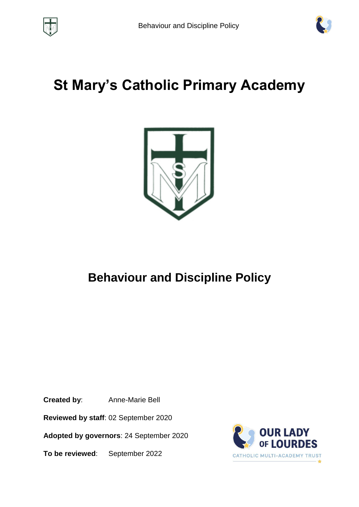



# **St Mary's Catholic Primary Academy**



# **Behaviour and Discipline Policy**

**Created by**: Anne-Marie Bell

**Reviewed by staff**: 02 September 2020

**Adopted by governors**: 24 September 2020

**To be reviewed**: September 2022

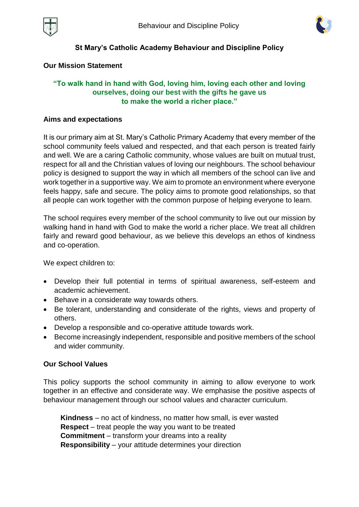



#### **St Mary's Catholic Academy Behaviour and Discipline Policy**

#### **Our Mission Statement**

#### **"To walk hand in hand with God, loving him, loving each other and loving ourselves, doing our best with the gifts he gave us to make the world a richer place."**

#### **Aims and expectations**

It is our primary aim at St. Mary's Catholic Primary Academy that every member of the school community feels valued and respected, and that each person is treated fairly and well. We are a caring Catholic community, whose values are built on mutual trust, respect for all and the Christian values of loving our neighbours. The school behaviour policy is designed to support the way in which all members of the school can live and work together in a supportive way. We aim to promote an environment where everyone feels happy, safe and secure. The policy aims to promote good relationships, so that all people can work together with the common purpose of helping everyone to learn.

The school requires every member of the school community to live out our mission by walking hand in hand with God to make the world a richer place. We treat all children fairly and reward good behaviour, as we believe this develops an ethos of kindness and co-operation.

We expect children to:

- Develop their full potential in terms of spiritual awareness, self-esteem and academic achievement.
- Behave in a considerate way towards others.
- Be tolerant, understanding and considerate of the rights, views and property of others.
- Develop a responsible and co-operative attitude towards work.
- Become increasingly independent, responsible and positive members of the school and wider community.

#### **Our School Values**

This policy supports the school community in aiming to allow everyone to work together in an effective and considerate way. We emphasise the positive aspects of behaviour management through our school values and character curriculum.

**Kindness** – no act of kindness, no matter how small, is ever wasted **Respect** – treat people the way you want to be treated **Commitment** – transform your dreams into a reality **Responsibility** – your attitude determines your direction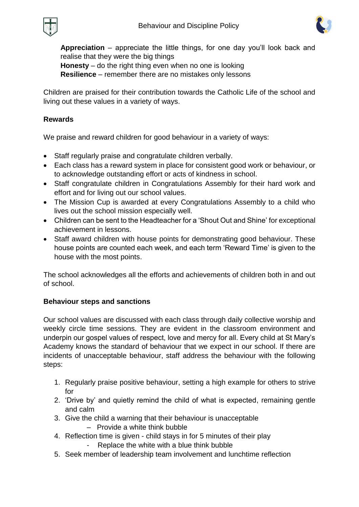



**Appreciation** – appreciate the little things, for one day you'll look back and realise that they were the big things

**Honesty** – do the right thing even when no one is looking **Resilience** – remember there are no mistakes only lessons

Children are praised for their contribution towards the Catholic Life of the school and living out these values in a variety of ways.

# **Rewards**

We praise and reward children for good behaviour in a variety of ways:

- Staff regularly praise and congratulate children verbally.
- Each class has a reward system in place for consistent good work or behaviour, or to acknowledge outstanding effort or acts of kindness in school.
- Staff congratulate children in Congratulations Assembly for their hard work and effort and for living out our school values.
- The Mission Cup is awarded at every Congratulations Assembly to a child who lives out the school mission especially well.
- Children can be sent to the Headteacher for a 'Shout Out and Shine' for exceptional achievement in lessons.
- Staff award children with house points for demonstrating good behaviour. These house points are counted each week, and each term 'Reward Time' is given to the house with the most points.

The school acknowledges all the efforts and achievements of children both in and out of school.

# **Behaviour steps and sanctions**

Our school values are discussed with each class through daily collective worship and weekly circle time sessions. They are evident in the classroom environment and underpin our gospel values of respect, love and mercy for all. Every child at St Mary's Academy knows the standard of behaviour that we expect in our school. If there are incidents of unacceptable behaviour, staff address the behaviour with the following steps:

- 1. Regularly praise positive behaviour, setting a high example for others to strive for
- 2. 'Drive by' and quietly remind the child of what is expected, remaining gentle and calm
- 3. Give the child a warning that their behaviour is unacceptable
	- Provide a white think bubble
- 4. Reflection time is given child stays in for 5 minutes of their play
	- Replace the white with a blue think bubble
- 5. Seek member of leadership team involvement and lunchtime reflection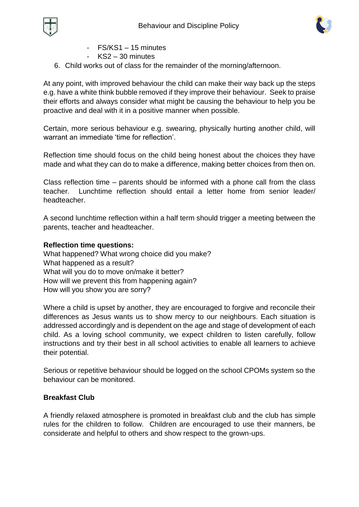



- FS/KS1 15 minutes
- KS2 30 minutes
- 6. Child works out of class for the remainder of the morning/afternoon.

At any point, with improved behaviour the child can make their way back up the steps e.g. have a white think bubble removed if they improve their behaviour. Seek to praise their efforts and always consider what might be causing the behaviour to help you be proactive and deal with it in a positive manner when possible.

Certain, more serious behaviour e.g. swearing, physically hurting another child, will warrant an immediate 'time for reflection'.

Reflection time should focus on the child being honest about the choices they have made and what they can do to make a difference, making better choices from then on.

Class reflection time – parents should be informed with a phone call from the class teacher. Lunchtime reflection should entail a letter home from senior leader/ headteacher.

A second lunchtime reflection within a half term should trigger a meeting between the parents, teacher and headteacher.

#### **Reflection time questions:**

What happened? What wrong choice did you make? What happened as a result? What will you do to move on/make it better? How will we prevent this from happening again? How will you show you are sorry?

Where a child is upset by another, they are encouraged to forgive and reconcile their differences as Jesus wants us to show mercy to our neighbours. Each situation is addressed accordingly and is dependent on the age and stage of development of each child. As a loving school community, we expect children to listen carefully, follow instructions and try their best in all school activities to enable all learners to achieve their potential.

Serious or repetitive behaviour should be logged on the school CPOMs system so the behaviour can be monitored.

# **Breakfast Club**

A friendly relaxed atmosphere is promoted in breakfast club and the club has simple rules for the children to follow. Children are encouraged to use their manners, be considerate and helpful to others and show respect to the grown-ups.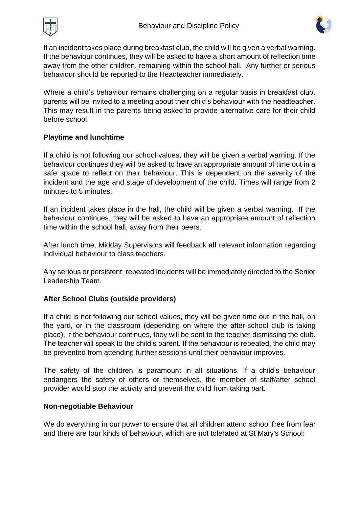



If an incident takes place during breakfast club, the child will be given a verbal warning. If the behaviour continues, they will be asked to have a short amount of reflection time away from the other children, remaining within the school hall. Any further or serious behaviour should be reported to the Headteacher immediately.

Where a child's behaviour remains challenging on a regular basis in breakfast club, parents will be invited to a meeting about their child's behaviour with the headteacher. This may result in the parents being asked to provide alternative care for their child before school.

# **Playtime and lunchtime**

If a child is not following our school values, they will be given a verbal warning. If the behaviour continues they will be asked to have an appropriate amount of time out in a safe space to reflect on their behaviour. This is dependent on the severity of the incident and the age and stage of development of the child. Times will range from 2 minutes to 5 minutes.

If an incident takes place in the hall, the child will be given a verbal warning. If the behaviour continues, they will be asked to have an appropriate amount of reflection time within the school hall, away from their peers.

After lunch time, Midday Supervisors will feedback **all** relevant information regarding individual behaviour to class teachers.

Any serious or persistent, repeated incidents will be immediately directed to the Senior Leadership Team.

# **After School Clubs (outside providers)**

If a child is not following our school values, they will be given time out in the hall, on the yard, or in the classroom (depending on where the after-school club is taking place). If the behaviour continues, they will be sent to the teacher dismissing the club. The teacher will speak to the child's parent. If the behaviour is repeated, the child may be prevented from attending further sessions until their behaviour improves.

The safety of the children is paramount in all situations. If a child's behaviour endangers the safety of others or themselves, the member of staff/after school provider would stop the activity and prevent the child from taking part.

# **Non-negotiable Behaviour**

We do everything in our power to ensure that all children attend school free from fear and there are four kinds of behaviour, which are not tolerated at St Mary's School: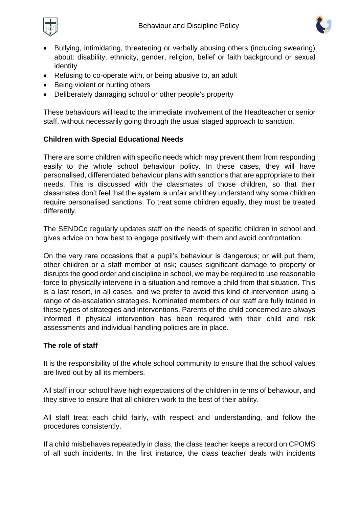



- Bullying, intimidating, threatening or verbally abusing others (including swearing) about: disability, ethnicity, gender, religion, belief or faith background or sexual identity
- Refusing to co-operate with, or being abusive to, an adult
- Being violent or hurting others
- Deliberately damaging school or other people's property

These behaviours will lead to the immediate involvement of the Headteacher or senior staff, without necessarily going through the usual staged approach to sanction.

# **Children with Special Educational Needs**

There are some children with specific needs which may prevent them from responding easily to the whole school behaviour policy. In these cases, they will have personalised, differentiated behaviour plans with sanctions that are appropriate to their needs. This is discussed with the classmates of those children, so that their classmates don't feel that the system is unfair and they understand why some children require personalised sanctions. To treat some children equally, they must be treated differently.

The SENDCo regularly updates staff on the needs of specific children in school and gives advice on how best to engage positively with them and avoid confrontation.

On the very rare occasions that a pupil's behaviour is dangerous; or will put them, other children or a staff member at risk; causes significant damage to property or disrupts the good order and discipline in school, we may be required to use reasonable force to physically intervene in a situation and remove a child from that situation. This is a last resort, in all cases, and we prefer to avoid this kind of intervention using a range of de-escalation strategies. Nominated members of our staff are fully trained in these types of strategies and interventions. Parents of the child concerned are always informed if physical intervention has been required with their child and risk assessments and individual handling policies are in place.

# **The role of staff**

It is the responsibility of the whole school community to ensure that the school values are lived out by all its members.

All staff in our school have high expectations of the children in terms of behaviour, and they strive to ensure that all children work to the best of their ability.

All staff treat each child fairly, with respect and understanding, and follow the procedures consistently.

If a child misbehaves repeatedly in class, the class teacher keeps a record on CPOMS of all such incidents. In the first instance, the class teacher deals with incidents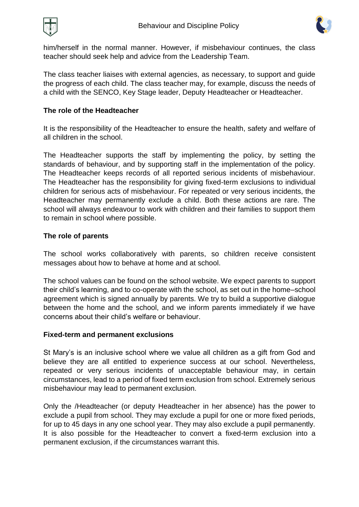

him/herself in the normal manner. However, if misbehaviour continues, the class teacher should seek help and advice from the Leadership Team.

The class teacher liaises with external agencies, as necessary, to support and guide the progress of each child. The class teacher may, for example, discuss the needs of a child with the SENCO, Key Stage leader, Deputy Headteacher or Headteacher.

# **The role of the Headteacher**

It is the responsibility of the Headteacher to ensure the health, safety and welfare of all children in the school.

The Headteacher supports the staff by implementing the policy, by setting the standards of behaviour, and by supporting staff in the implementation of the policy. The Headteacher keeps records of all reported serious incidents of misbehaviour. The Headteacher has the responsibility for giving fixed-term exclusions to individual children for serious acts of misbehaviour. For repeated or very serious incidents, the Headteacher may permanently exclude a child. Both these actions are rare. The school will always endeavour to work with children and their families to support them to remain in school where possible.

# **The role of parents**

The school works collaboratively with parents, so children receive consistent messages about how to behave at home and at school.

The school values can be found on the school website. We expect parents to support their child's learning, and to co-operate with the school, as set out in the home–school agreement which is signed annually by parents. We try to build a supportive dialogue between the home and the school, and we inform parents immediately if we have concerns about their child's welfare or behaviour.

# **Fixed-term and permanent exclusions**

St Mary's is an inclusive school where we value all children as a gift from God and believe they are all entitled to experience success at our school. Nevertheless, repeated or very serious incidents of unacceptable behaviour may, in certain circumstances, lead to a period of fixed term exclusion from school. Extremely serious misbehaviour may lead to permanent exclusion.

Only the /Headteacher (or deputy Headteacher in her absence) has the power to exclude a pupil from school. They may exclude a pupil for one or more fixed periods, for up to 45 days in any one school year. They may also exclude a pupil permanently. It is also possible for the Headteacher to convert a fixed-term exclusion into a permanent exclusion, if the circumstances warrant this.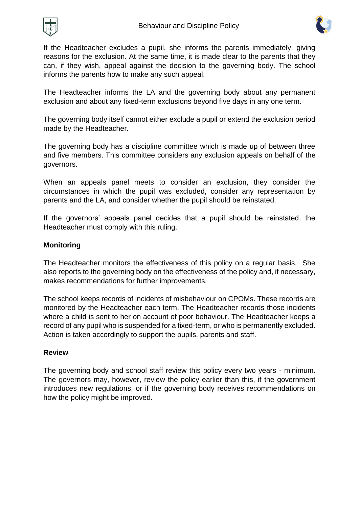



If the Headteacher excludes a pupil, she informs the parents immediately, giving reasons for the exclusion. At the same time, it is made clear to the parents that they can, if they wish, appeal against the decision to the governing body. The school informs the parents how to make any such appeal.

The Headteacher informs the LA and the governing body about any permanent exclusion and about any fixed-term exclusions beyond five days in any one term.

The governing body itself cannot either exclude a pupil or extend the exclusion period made by the Headteacher.

The governing body has a discipline committee which is made up of between three and five members. This committee considers any exclusion appeals on behalf of the governors.

When an appeals panel meets to consider an exclusion, they consider the circumstances in which the pupil was excluded, consider any representation by parents and the LA, and consider whether the pupil should be reinstated.

If the governors' appeals panel decides that a pupil should be reinstated, the Headteacher must comply with this ruling.

# **Monitoring**

The Headteacher monitors the effectiveness of this policy on a regular basis. She also reports to the governing body on the effectiveness of the policy and, if necessary, makes recommendations for further improvements.

The school keeps records of incidents of misbehaviour on CPOMs. These records are monitored by the Headteacher each term. The Headteacher records those incidents where a child is sent to her on account of poor behaviour. The Headteacher keeps a record of any pupil who is suspended for a fixed-term, or who is permanently excluded. Action is taken accordingly to support the pupils, parents and staff.

#### **Review**

The governing body and school staff review this policy every two years - minimum. The governors may, however, review the policy earlier than this, if the government introduces new regulations, or if the governing body receives recommendations on how the policy might be improved.